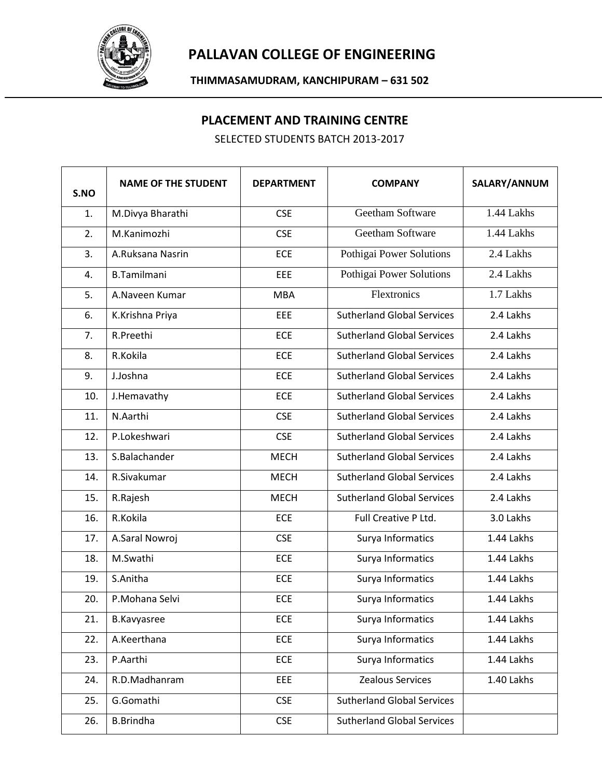

## **PALLAVAN COLLEGE OF ENGINEERING**

**THIMMASAMUDRAM, KANCHIPURAM – 631 502**

## **PLACEMENT AND TRAINING CENTRE**

SELECTED STUDENTS BATCH 2013-2017

| S.NO | <b>NAME OF THE STUDENT</b> | <b>DEPARTMENT</b> | <b>COMPANY</b>                    | SALARY/ANNUM |
|------|----------------------------|-------------------|-----------------------------------|--------------|
| 1.   | M.Divya Bharathi           | <b>CSE</b>        | Geetham Software                  | 1.44 Lakhs   |
| 2.   | M.Kanimozhi                | <b>CSE</b>        | Geetham Software                  | 1.44 Lakhs   |
| 3.   | A.Ruksana Nasrin           | <b>ECE</b>        | Pothigai Power Solutions          | 2.4 Lakhs    |
| 4.   | <b>B.Tamilmani</b>         | EEE               | Pothigai Power Solutions          | 2.4 Lakhs    |
| 5.   | A.Naveen Kumar             | <b>MBA</b>        | Flextronics                       | 1.7 Lakhs    |
| 6.   | K.Krishna Priya            | EEE               | <b>Sutherland Global Services</b> | 2.4 Lakhs    |
| 7.   | R.Preethi                  | ECE               | <b>Sutherland Global Services</b> | 2.4 Lakhs    |
| 8.   | R.Kokila                   | ECE               | <b>Sutherland Global Services</b> | 2.4 Lakhs    |
| 9.   | J.Joshna                   | <b>ECE</b>        | <b>Sutherland Global Services</b> | 2.4 Lakhs    |
| 10.  | J.Hemavathy                | <b>ECE</b>        | <b>Sutherland Global Services</b> | 2.4 Lakhs    |
| 11.  | N.Aarthi                   | <b>CSE</b>        | <b>Sutherland Global Services</b> | 2.4 Lakhs    |
| 12.  | P.Lokeshwari               | <b>CSE</b>        | <b>Sutherland Global Services</b> | 2.4 Lakhs    |
| 13.  | S.Balachander              | <b>MECH</b>       | <b>Sutherland Global Services</b> | 2.4 Lakhs    |
| 14.  | R.Sivakumar                | <b>MECH</b>       | <b>Sutherland Global Services</b> | 2.4 Lakhs    |
| 15.  | R.Rajesh                   | <b>MECH</b>       | <b>Sutherland Global Services</b> | 2.4 Lakhs    |
| 16.  | R.Kokila                   | ECE               | Full Creative P Ltd.              | 3.0 Lakhs    |
| 17.  | A.Saral Nowroj             | <b>CSE</b>        | Surya Informatics                 | 1.44 Lakhs   |
| 18.  | M.Swathi                   | ECE               | Surya Informatics                 | 1.44 Lakhs   |
| 19.  | S.Anitha                   | ECE               | Surya Informatics                 | 1.44 Lakhs   |
| 20.  | P.Mohana Selvi             | ECE               | Surya Informatics                 | 1.44 Lakhs   |
| 21.  | <b>B.Kavyasree</b>         | <b>ECE</b>        | Surya Informatics                 | 1.44 Lakhs   |
| 22.  | A.Keerthana                | <b>ECE</b>        | Surya Informatics                 | 1.44 Lakhs   |
| 23.  | P.Aarthi                   | ECE               | Surya Informatics                 | 1.44 Lakhs   |
| 24.  | R.D.Madhanram              | EEE               | Zealous Services                  | 1.40 Lakhs   |
| 25.  | G.Gomathi                  | <b>CSE</b>        | <b>Sutherland Global Services</b> |              |
| 26.  | <b>B.Brindha</b>           | <b>CSE</b>        | <b>Sutherland Global Services</b> |              |